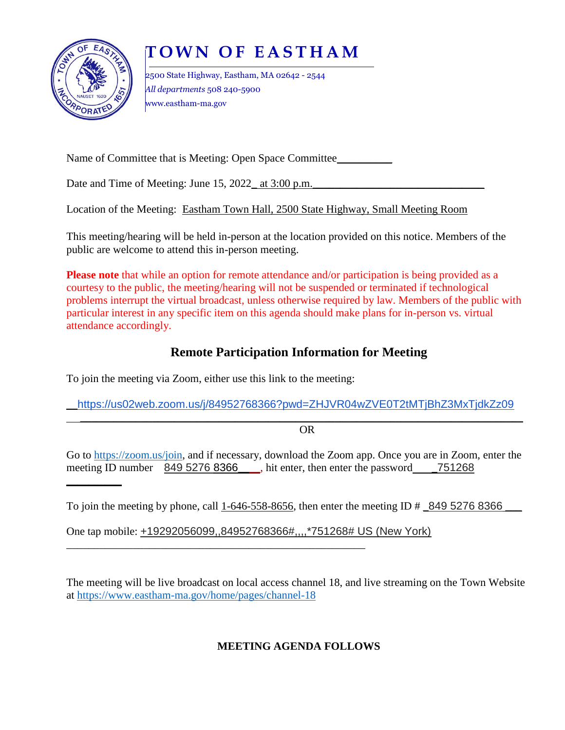

 $\frac{1}{2}$ 

# **T O W N O F E A S T H A M**

2500 State Highway, Eastham, MA 02642 - 2544 *All departments* 508 240-5900 www.eastham-ma.gov

Name of Committee that is Meeting: Open Space Committee\_\_\_\_\_\_\_\_\_\_

Date and Time of Meeting: June  $15, 2022$  at  $3:00$  p.m.

Location of the Meeting: Eastham Town Hall, 2500 State Highway, Small Meeting Room

This meeting/hearing will be held in-person at the location provided on this notice. Members of the public are welcome to attend this in-person meeting.

**Please note** that while an option for remote attendance and/or participation is being provided as a courtesy to the public, the meeting/hearing will not be suspended or terminated if technological problems interrupt the virtual broadcast, unless otherwise required by law. Members of the public with particular interest in any specific item on this agenda should make plans for in-person vs. virtual attendance accordingly.

# **Remote Participation Information for Meeting**

To join the meeting via Zoom, either use this link to the meeting:

\_\_https://us02web.zoom.us/j/84952768366?pwd=ZHJVR04wZVE0T2tMTjBhZ3MxTjdkZz09

 $\_$  , and the set of the set of the set of the set of the set of the set of the set of the set of the set of the set of the set of the set of the set of the set of the set of the set of the set of the set of the set of th OR

Go to [https://zoom.us/join,](https://zoom.us/join) and if necessary, download the Zoom app. Once you are in Zoom, enter the meeting ID number 849 5276 8366 hit enter, then enter the password 751268

To join the meeting by phone, call 1-646-558-8656, then enter the meeting ID  $\#$  849 5276 8366

One tap mobile: +19292056099,,84952768366#,,,,\*751268# US (New York)

\_\_\_\_\_\_\_\_\_\_\_\_\_\_\_\_\_\_\_\_\_\_\_\_\_\_\_\_\_\_\_\_\_\_\_\_\_\_\_\_\_\_\_\_\_\_\_\_\_\_\_\_\_\_

The meeting will be live broadcast on local access channel 18, and live streaming on the Town Website at<https://www.eastham-ma.gov/home/pages/channel-18>

**MEETING AGENDA FOLLOWS**